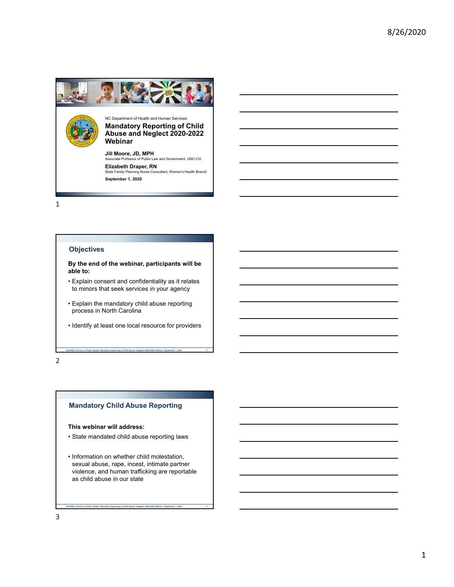

#### **Objectives**

**By the end of the webinar, participants will be able to:**

- Explain consent and confidentiality as it relates to minors that seek services in your agency
- Explain the mandatory child abuse reporting process in North Carolina
- Identify at least one local resource for providers

**NCDHHS, Division of Public Health | Mandatory Reporting of Child Abuse & Neglect 2020-2022 Webinar | September 1, 2020 2**

2

#### **Mandatory Child Abuse Reporting**

**This webinar will address:**

- State mandated child abuse reporting laws
- Information on whether child molestation, sexual abuse, rape, incest, intimate partner violence, and human trafficking are reportable as child abuse in our state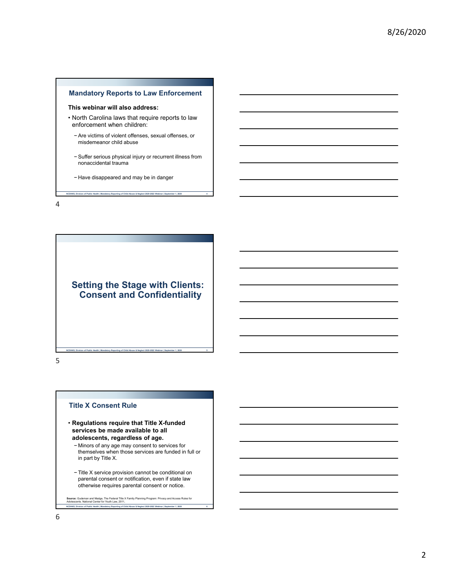



**NCDHHS, Division of Public Health | Mandatory Reporting of Child Abuse & Neglect 2020-2022 Webinar | September 1, 2020 5**

5

#### **Title X Consent Rule**

- **Regulations require that Title X-funded services be made available to all adolescents, regardless of age.**
	- − Minors of any age may consent to services for themselves when those services are funded in full or in part by Title X.
	- − Title X service provision cannot be conditional on parental consent or notification, even if state law otherwise requires parental consent or notice.

**Source:** Gudeman and Madge, The Federal Title X Family Planning Program: Privacy and Access Rules for Adolescents. National Center for Youth Law, 2011**.**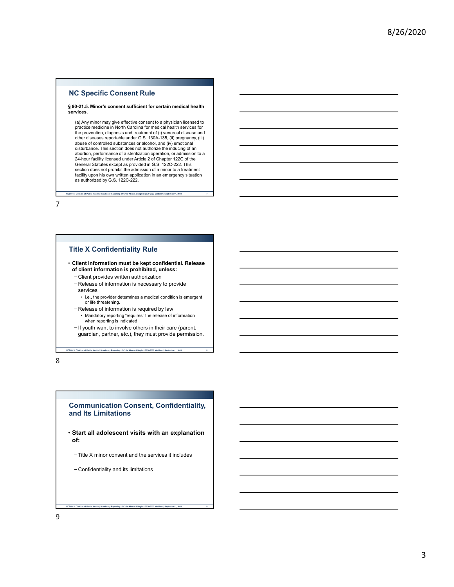#### **NC Specific Consent Rule**

#### **§ 90-21.5. Minor's consent sufficient for certain medical health services.**

(a) Any minor may give effective consent to a physician licensed to practice medicine in North Carolina for medical health services for the prevention, diagnosis and treatment of (i) venereal disease and other diseases reportable under G.S. 130A-135, (ii) pregnancy, (iii) abuse of controlled substances or alcohol, and (iv) emotional disturbance. This section does not authorize the inducing of an abortion, performance of a sterilization operation, or admission to a 24-hour facility licensed under Article 2 of Chapter 122C of the General Statutes except as provided in G.S. 122C-222. This section does not prohibit the admission of a minor to a treatment facility upon his own written application in an emergency situation as authorized by G.S. 122C-222.

**NCDHHS, Division of Public Health | Mandatory Reporting of Child Abuse & Neglect 2020-2022 Webinar | September 1, 2020 7**

7

#### **Title X Confidentiality Rule**

• **Client information must be kept confidential. Release of client information is prohibited, unless:**

- − Client provides written authorization
- − Release of information is necessary to provide services
	- i.e., the provider determines a medical condition is emergent or life threatening.
- − Release of information is required by law
- Mandatory reporting "requires" the release of information when reporting is indicated
- − If youth want to involve others in their care (parent, guardian, partner, etc.), they must provide permission.

**NCDHHS, Division of Public Health | Mandatory Reporting of Child Abuse & Neglect 2020-2022 Webinar | September 1, 2020 8**

8

#### **Communication Consent, Confidentiality, and Its Limitations**

- **Start all adolescent visits with an explanation of:**
	- − Title X minor consent and the services it includes

**NCDHHS, Division of Public Health | Mandatory Reporting of Child Abuse & Neglect 2020-2022 Webinar | September 1, 2020 9**

− Confidentiality and its limitations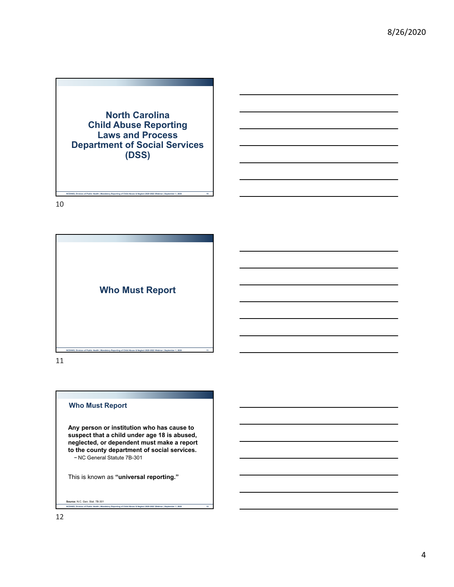**North Carolina Child Abuse Reporting Laws and Process Department of Social Services (DSS)**

**NCDHHS, Division of Public Health | Mandatory Reporting of Child Abuse & Neglect 2020-2022 Webinar | September 1, 2020 10**

10



11

#### **Who Must Report**

**Any person or institution who has cause to suspect that a child under age 18 is abused, neglected, or dependent must make a report to the county department of social services.** − NC General Statute 7B-301

This is known as **"universal reporting."** 

#### **NCDHHS, Division of Public Health | Mandatory Reporting of Child Abuse & Neglect 2020-2022 Webinar | September 1, 2020 12 Source:** N.C. Gen. Stat. 7B-301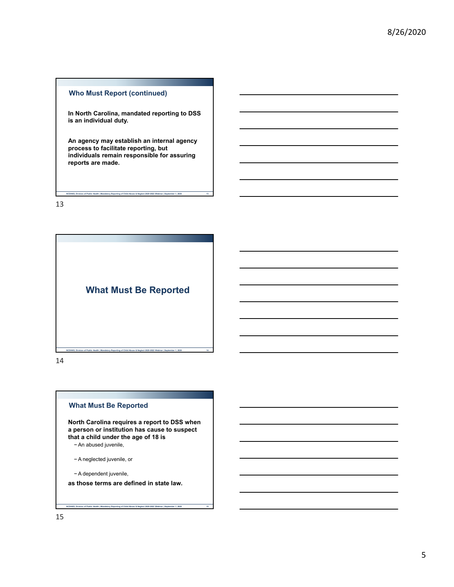#### **Who Must Report (continued)**

**In North Carolina, mandated reporting to DSS is an individual duty.**

**An agency may establish an internal agency process to facilitate reporting, but individuals remain responsible for assuring reports are made.**

**NCDHHS, Division of Public Health | Mandatory Reporting of Child Abuse & Neglect 2020-2022 Webinar | September 1, 2020 13**

13



14

#### **What Must Be Reported**

**North Carolina requires a report to DSS when a person or institution has cause to suspect that a child under the age of 18 is**  − An abused juvenile,

− A neglected juvenile, or

− A dependent juvenile,

**as those terms are defined in state law.**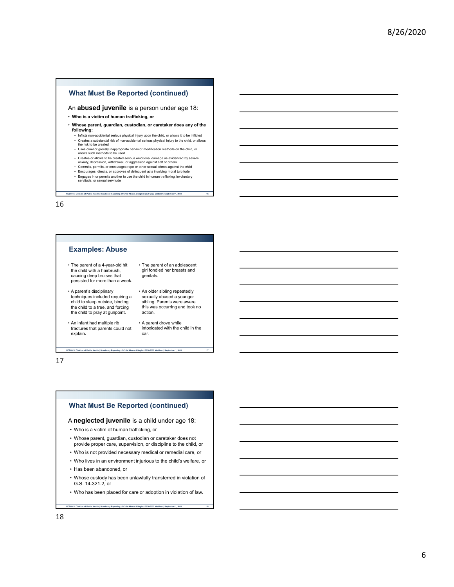#### **What Must Be Reported (continued)**

#### An **abused juvenile** is a person under age 18:

- **Who is a victim of human trafficking, or**
- **Whose parent, guardian, custodian, or caretaker does any of the following:**
	- − Inflicts non-accidental serious physical injury upon the child, or allows it to be inflicted − Creates a substantial risk of non-accidental serious physical injury to the child, or allows the risk to be created
	- − Uses cruel or grossly inappropriate behavior modification methods on the child, or allows such methods to be used
	-
	- − Creates or allows to be created serious emotional damage as evidenced by severe<br>− anxiety, depression, withdrawal, or aggression against self or others<br>− Commits, permits, or encourages rape or other sexual crimes again

**NCDHHS, Division of Public Health | Mandatory Reporting of Child Abuse & Neglect 2020-2022 Webinar | September 1, 2020 16**

− Encourages, directs, or approves of delinquent acts involving moral turpitude<br>− Engages in or permits another to use the child in human trafficking, involuntary<br>− servitude, or sexual servitude

16

#### **Examples: Abuse**

- The parent of a 4-year-old hit the child with a hairbrush, causing deep bruises that persisted for more than a week.
- A parent's disciplinary techniques included requiring a child to sleep outside, binding the child to a tree, and forcing the child to pray at gunpoint.
- An infant had multiple rib fractures that parents could not explain**.**
- genitals. • An older sibling repeatedly sexually abused a younger

• The parent of an adolescent girl fondled her breasts and

- sibling. Parents were aware this was occurring and took no action.
- A parent drove while intoxicated with the child in the car.

17

#### **What Must Be Reported (continued)**

**NCDHHS, Division of Public Health | Mandatory Reporting of Child Abuse & Neglect 2020-2022 Webinar | September 1, 2020 17**

#### A **neglected juvenile** is a child under age 18:

- Who is a victim of human trafficking, or
- Whose parent, guardian, custodian or caretaker does not provide proper care, supervision, or discipline to the child, or
- Who is not provided necessary medical or remedial care, or
- Who lives in an environment injurious to the child's welfare, or
- Has been abandoned, or
- Whose custody has been unlawfully transferred in violation of G.S. 14-321.2, or
- Who has been placed for care or adoption in violation of law**.**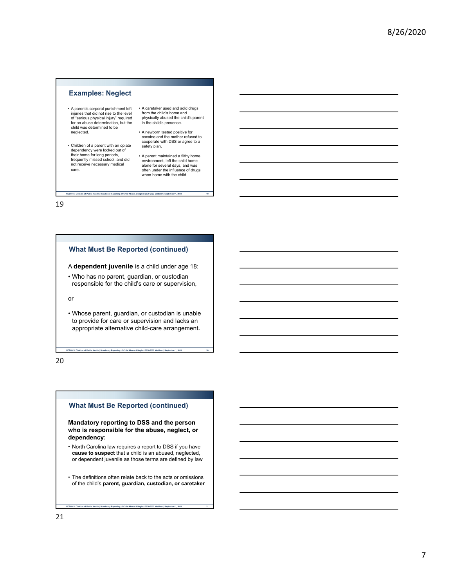#### **Examples: Neglect**

- A parent's corporal punishment left injuries that did not rise to the level of "serious physical injury" required for an abuse determination, but the child was determined to be neglected.
- Children of a parent with an opiate dependency were locked out of their home for long periods, frequently missed school, and did not receive necessary medical care.
- A caretaker used and sold drugs from the child's home and physically abused the child's parent in the child's presence.
- A newborn tested positive for cocaine and the mother refused to cooperate with DSS or agree to a safety plan.
- A parent maintained a filthy home environment, left the child home alone for several days, and was often under the influence of drugs when home with the child.

19

#### **What Must Be Reported (continued)**

A **dependent juvenile** is a child under age 18:

**NCDHHS, Division of Public Health | Mandatory Reporting of Child Abuse & Neglect 2020-2022 Webinar | September 1, 2020 19**

• Who has no parent, guardian, or custodian responsible for the child's care or supervision,

or

• Whose parent, guardian, or custodian is unable to provide for care or supervision and lacks an appropriate alternative child-care arrangement**.**

**NCDHHS, Division of Public Health | Mandatory Reporting of Child Abuse & Neglect 2020-2022 Webinar | September 1, 2020 20**

20

#### **What Must Be Reported (continued)**

**Mandatory reporting to DSS and the person who is responsible for the abuse, neglect, or dependency:**

- North Carolina law requires a report to DSS if you have **cause to suspect** that a child is an abused, neglected, or dependent juvenile as those terms are defined by law
- The definitions often relate back to the acts or omissions of the child's **parent, guardian, custodian, or caretaker**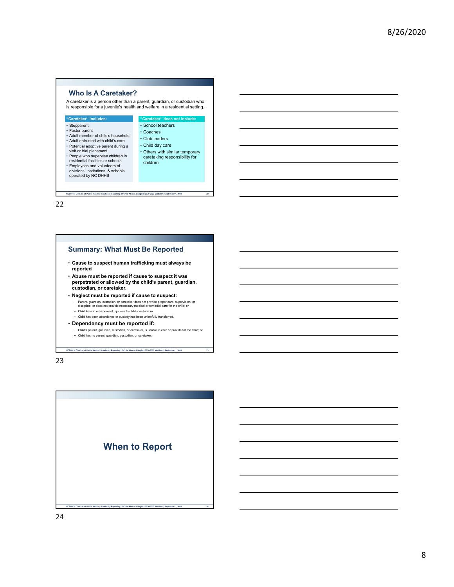#### **Who Is A Caretaker?**

A caretaker is a person other than a parent, guardian, or custodian who is responsible for a juvenile's health and welfare in a residential setting.



22

#### **Summary: What Must Be Reported**

- **Cause to suspect human trafficking must always be reported**
- **Abuse must be reported if cause to suspect it was perpetrated or allowed by the child's parent, guardian, custodian, or caretaker.**
- **Neglect must be reported if cause to suspect:**
	- − Parent, guardian, custodian, or caretaker does not provide proper care, supervision, or discipline; or does not provide necessary medical or remedial care for the child; or
	- − Child lives in environment injurious to child's welfare; or
	- − Child has been abandoned or custody has been unlawfully transferred.
- **Dependency must be reported if:**
	- − Child's parent, guardian, custodian, or caretaker, is unable to care or provide for the child; or <br>− Child has no parent, quardian, custodian, or caretaker.

**NCDHHS, Division of Public Health | Mandatory Reporting of Child Abuse & Neglect 2020-2022 Webinar | September 1, 2020 23**

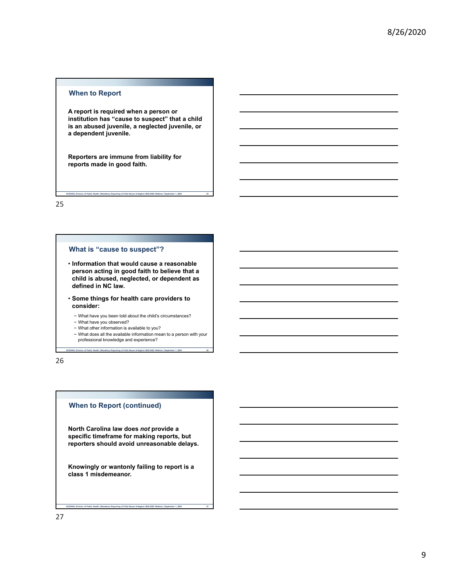#### **When to Report**

**A report is required when a person or institution has "cause to suspect" that a child is an abused juvenile, a neglected juvenile, or a dependent juvenile.**

**NCDHHS, Division of Public Health | Mandatory Reporting of Child Abuse & Neglect 2020-2022 Webinar | September 1, 2020 25**

**Reporters are immune from liability for reports made in good faith.**

25

#### **What is "cause to suspect"?**

- **Information that would cause a reasonable person acting in good faith to believe that a child is abused, neglected, or dependent as defined in NC law.**
- **Some things for health care providers to consider:**
	- − What have you been told about the child's circumstances?
	- − What have you observed?
	- − What other information is available to you?
	- − What does all the available information mean to a person with your professional knowledge and experience?

**NCDHHS, Division of Public Health | Mandatory Reporting of Child Abuse & Neglect 2020-2022 Webinar | September 1, 2020 26**

26

#### **When to Report (continued)**

**North Carolina law does** *not* **provide a specific timeframe for making reports, but reporters should avoid unreasonable delays.**

**Knowingly or wantonly failing to report is a class 1 misdemeanor.**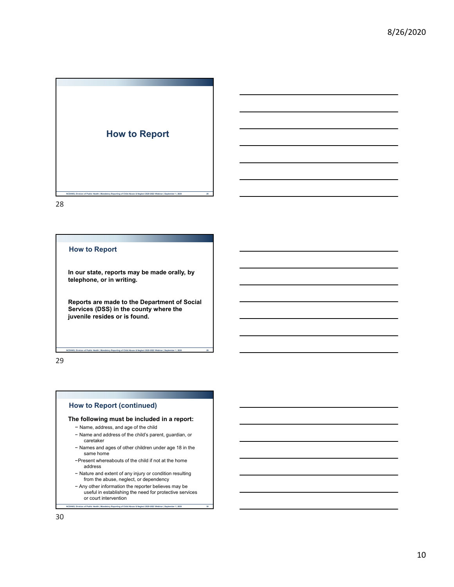

#### **How to Report**

**In our state, reports may be made orally, by telephone, or in writing.**

**Reports are made to the Department of Social Services (DSS) in the county where the juvenile resides or is found.** 

**NCDHHS, Division of Public Health | Mandatory Reporting of Child Abuse & Neglect 2020-2022 Webinar | September 1, 2020 29**

29

#### **How to Report (continued)**

#### **The following must be included in a report:**

- − Name, address, and age of the child
- − Name and address of the child's parent, guardian, or caretaker
- − Names and ages of other children under age 18 in the same home
- −Present whereabouts of the child if not at the home address
- − Nature and extent of any injury or condition resulting from the abuse, neglect, or dependency
- **NCDHHS, Division of Public Health | Mandatory Reporting of Child Abuse & Neglect 2020-2022 Webinar | September 1, 2020 30** − Any other information the reporter believes may be useful in establishing the need for protective services or court intervention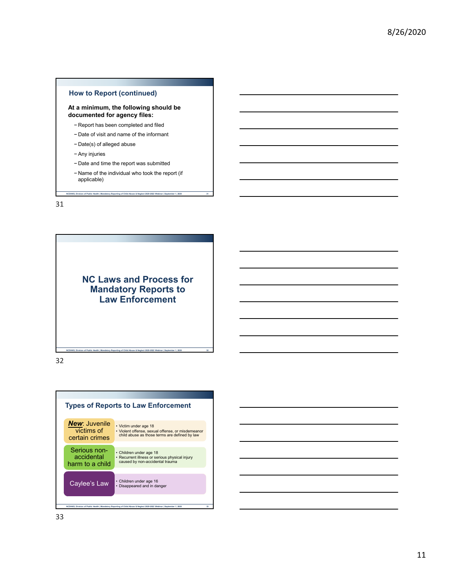#### **How to Report (continued)**

**At a minimum, the following should be documented for agency files:**

- − Report has been completed and filed
- − Date of visit and name of the informant
- − Date(s) of alleged abuse
- − Any injuries
- − Date and time the report was submitted
- − Name of the individual who took the report (if applicable)

**NCDHHS, Division of Public Health | Mandatory Reporting of Child Abuse & Neglect 2020-2022 Webinar | September 1, 2020 31**

31

**NC Laws and Process for Mandatory Reports to Law Enforcement**

**NCDHHS, Division of Public Health | Mandatory Reporting of Child Abuse & Neglect 2020-2022 Webinar | September 1, 2020 32**



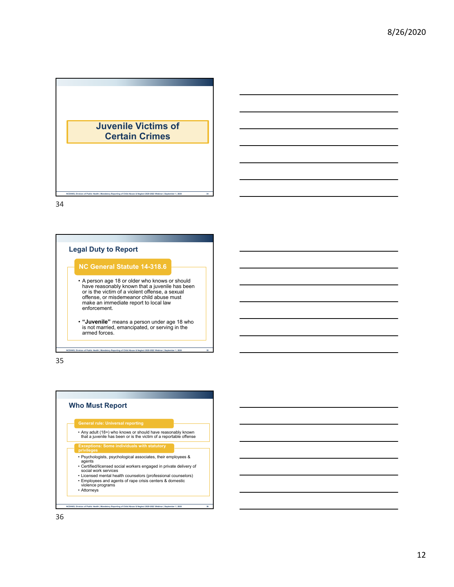



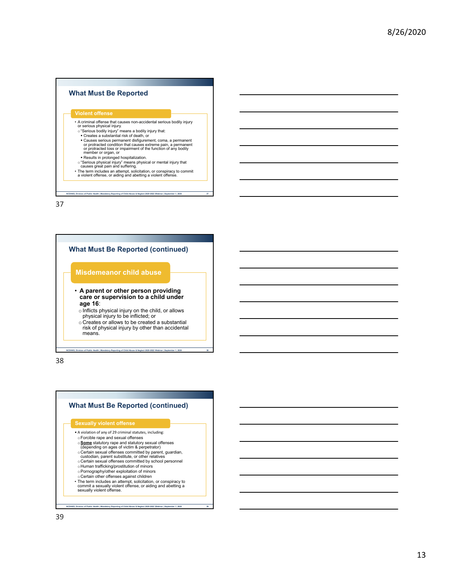# **What Must Be Reported** • A criminal offense that causes non-accidental serious bodily injury or serious physical injury. o"Serious bodily injury" means a bodily injury that: • Creates a substantial risk of death, or<br>• Causes serious permanent disfigurement, coma, a permanent<br>• or protracted condition that causes extreme pain, a permanent<br>• or protracted loss or impairment of the function of an Results in prolonged hospitalization. o"Serious physical injury" means physical or mental injury that causes great pain and suffering. • The term includes an attempt, solicitation, or conspiracy to commit a violent offense, or aiding and abetting a violent offense.

**NCDHHS, Division of Public Health | Mandatory Reporting of Child Abuse & Neglect 2020-2022 Webinar | September 1, 2020 37**

37

## **NCDHHS, Division of Public Health | Mandatory Reporting of Child Abuse & Neglect 2020-2022 Webinar | September 1, 2020 38 What Must Be Reported (continued)** • **A parent or other person providing care or supervision to a child under age 16**:  $\circ$  Inflicts physical injury on the child, or allows physical injury to be inflicted; or o Creates or allows to be created a substantial risk of physical injury by other than accidental means. **Misdemeanor child abuse**

38

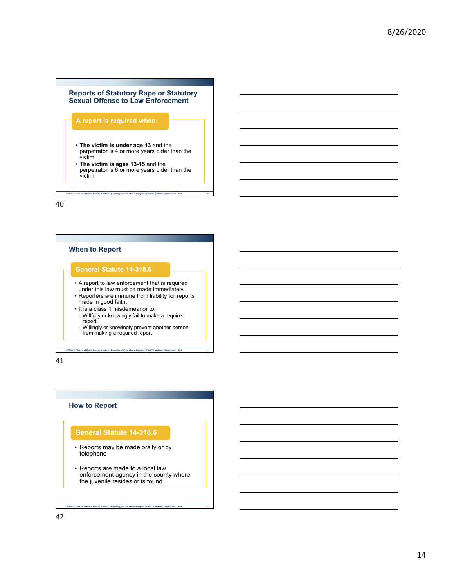

**NEDITY ACTES INCORDER INCORDER INCORDER INC. Abuse & Neglect 2020-2022 Webinar | September 1, 2020** 

40



**NCDHHS, Division of Public Health | Mandatory Reporting of Child Abuse & Neglect 2020-2022 Webinar | September 1, 2020 41**

41

#### **How to Report**

#### **General Statute 14-318.6**

- Reports may be made orally or by telephone
- Reports are made to a local law enforcement agency in the county where the juvenile resides or is found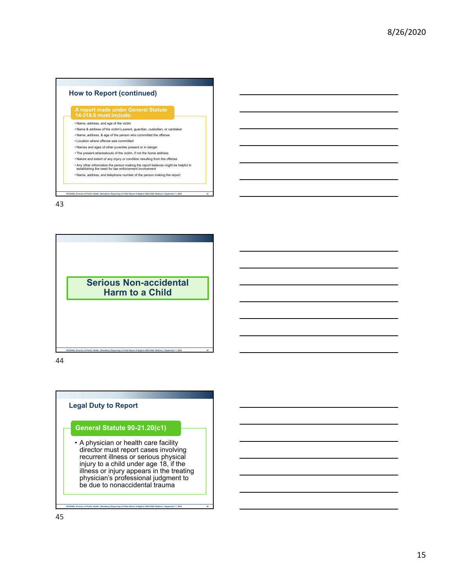



44

### **Legal Duty to Report**

#### **General Statute 90-21.20(c1)**

• A physician or health care facility director must report cases involving recurrent illness or serious physical injury to a child under age 18, if the illness or injury appears in the treating physician's professional judgment to be due to nonaccidental trauma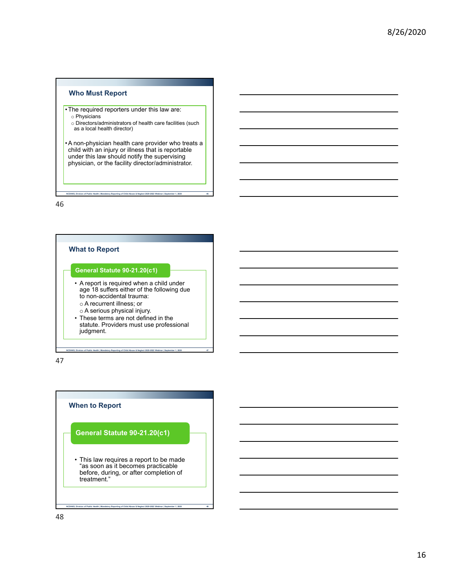#### **Who Must Report**

- •The required reporters under this law are:
	- o Physicians
	- o Directors/administrators of health care facilities (such as a local health director)

•A non-physician health care provider who treats a child with an injury or illness that is reportable under this law should notify the supervising physician, or the facility director/administrator.

**NCDHHS, Division of Public Health | Mandatory Reporting of Child Abuse & Neglect 2020-2022 Webinar | September 1, 2020 46**

46

## **What to Report** • A report is required when a child under age 18 suffers either of the following due to non-accidental trauma: o A recurrent illness; or o A serious physical injury. • These terms are not defined in the statute. Providers must use professional judgment. **General Statute 90-21.20(c1)**

**NCDHHS, Division of Public Health | Mandatory Reporting of Child Abuse & Neglect 2020-2022 Webinar | September 1, 2020 47**

47

## **When to Report** • This law requires a report to be made "as soon as it becomes practicable **General Statute 90-21.20(c1)**

before, during, or after completion of

treatment."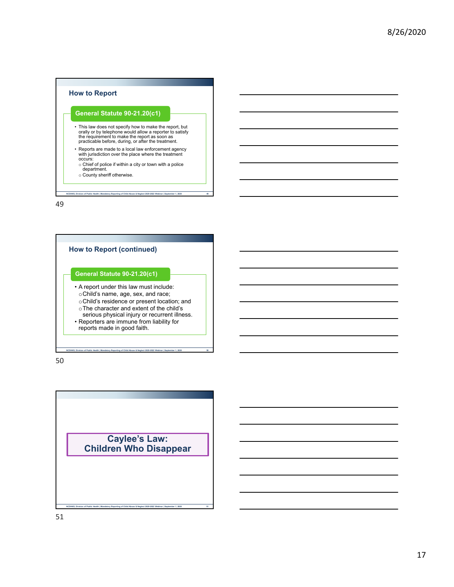## **How to Report**

#### **General Statute 90-21.20(c1)**

- This law does not specify how to make the report, but orally or by telephone would allow a reporter to satisfy the requirement to make the report as soon as practicable before, during, or after the treatment.
- Reports are made to a local law enforcement agency with jurisdiction over the place where the treatment occurs:
	- o Chief of police if within a city or town with a police department.
	- o County sheriff otherwise.

**Nation of Public Health | Mandatory Reporting of Child Abuse & Neglect 2020-2022 We** 

49



**NCDHHS, Division of Public Health | Mandatory Reporting of Child Abuse & Neglect 2020-2022 Webinar | September 1, 2020 50**

50

**Caylee's Law: Children Who Disappear**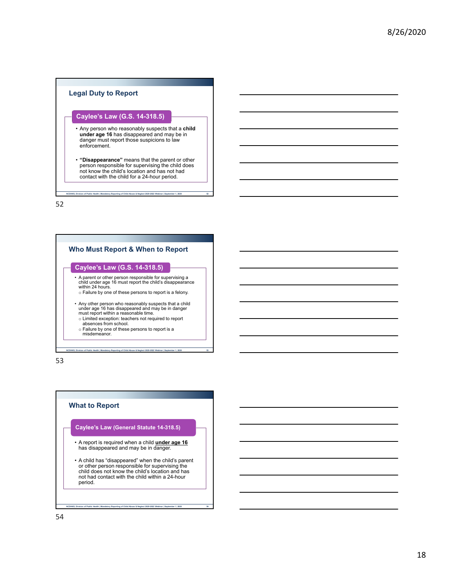#### **Legal Duty to Report**

#### **Caylee's Law (G.S. 14-318.5)**

- Any person who reasonably suspects that a **child under age 16** has disappeared and may be in danger must report those suspicions to law enforcement.
- **"Disappearance"** means that the parent or other person responsible for supervising the child does not know the child's location and has not had contact with the child for a 24-hour period.

**NCDHHS, Division of Public Health | Mandatory Reporting of Child Abuse & Neglect 2020-2022 Webinar | September 1, 2020 52**

52



53

#### **What to Report**

#### **Caylee's Law (General Statute 14-318.5)**

- A report is required when a child **under age 16** has disappeared and may be in danger.
- A child has "disappeared" when the child's parent or other person responsible for supervising the child does not know the child's location and has not had contact with the child within a 24-hour period.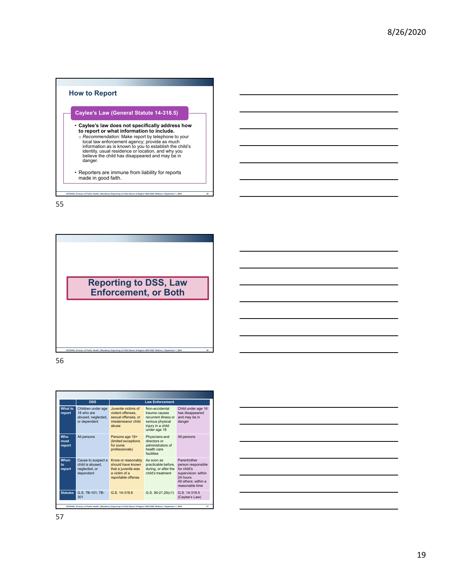



56



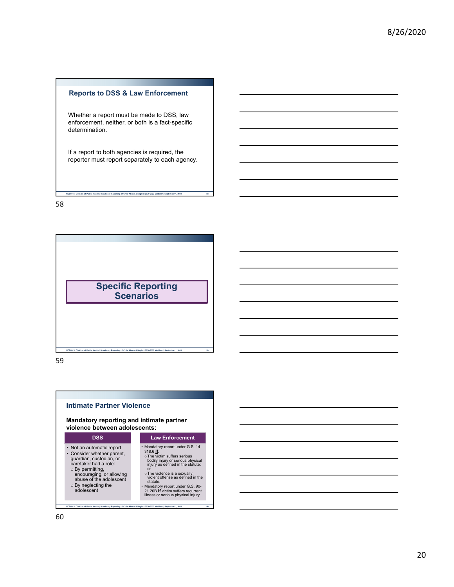#### **Reports to DSS & Law Enforcement**

Whether a report must be made to DSS, law enforcement, neither, or both is a fact-specific determination.

If a report to both agencies is required, the reporter must report separately to each agency.

**NCDHHS, Division of Public Health | Mandatory Reporting of Child Abuse & Neglect 2020-2022 Webinar | September 1, 2020 58**

58





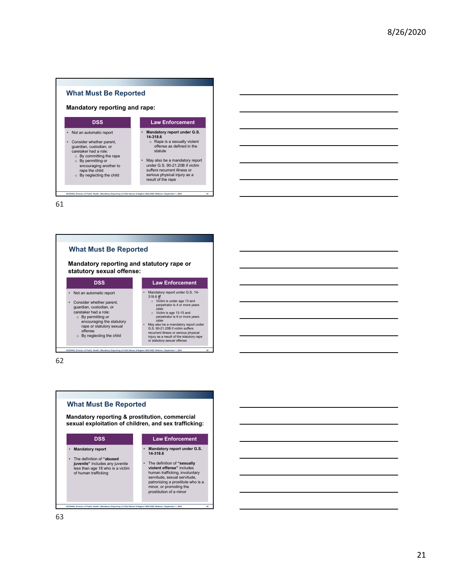



62

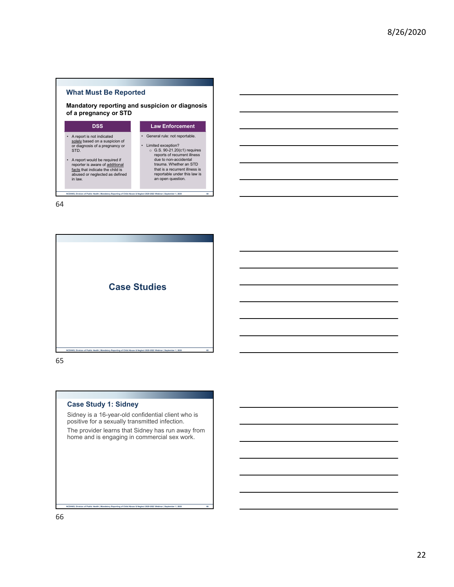#### **What Must Be Reported**

**Mandatory reporting and suspicion or diagnosis of a pregnancy or STD**

| DSS                                                                                                                                                                                                                                                        | <b>Law Enforcement</b>                                                                                                                                                                                                                                              |
|------------------------------------------------------------------------------------------------------------------------------------------------------------------------------------------------------------------------------------------------------------|---------------------------------------------------------------------------------------------------------------------------------------------------------------------------------------------------------------------------------------------------------------------|
| A report is not indicated<br>solely based on a suspicion of<br>or diagnosis of a pregnancy or<br>STD.<br>A report would be required if<br>reporter is aware of additional<br>facts that indicate the child is<br>abused or neglected as defined<br>in law. | General rule: not reportable.<br>Limited exception?<br>$\circ$ G.S. 90-21.20(c1) requires<br>reports of recurrent illness<br>due to non-accidental<br>trauma. Whether an STD<br>that is a recurrent illness is<br>reportable under this law is<br>an open question. |

**NCDHHS, Division of Public Health | Mandatory Reporting of Child Abuse & Neglect 2020-2022 Webinar | September 1, 2020 64**

64



65

#### **Case Study 1: Sidney**

Sidney is a 16-year-old confidential client who is positive for a sexually transmitted infection.

The provider learns that Sidney has run away from home and is engaging in commercial sex work.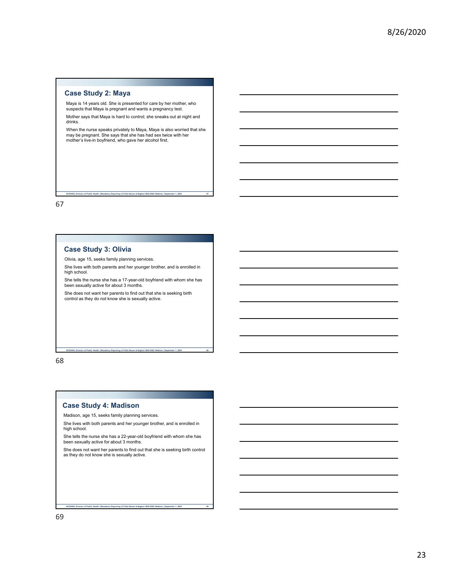#### **Case Study 2: Maya**

Maya is 14 years old. She is presented for care by her mother, who suspects that Maya is pregnant and wants a pregnancy test.

Mother says that Maya is hard to control; she sneaks out at night and drinks.

When the nurse speaks privately to Maya, Maya is also worried that she may be pregnant. She says that she has had sex twice with her mother's live-in boyfriend, who gave her alcohol first.

**NCDHHS, Division of Public Health | Mandatory Reporting of Child Abuse & Neglect 2020-2022 Webinar | September 1, 2020 67**

67

#### **Case Study 3: Olivia**

Olivia, age 15, seeks family planning services.

She lives with both parents and her younger brother, and is enrolled in high school.

She tells the nurse she has a 17-year-old boyfriend with whom she has been sexually active for about 3 months.

**NCDHHS, Division of Public Health | Mandatory Reporting of Child Abuse & Neglect 2020-2022 Webinar | September 1, 2020 68**

She does not want her parents to find out that she is seeking birth control as they do not know she is sexually active.

#### 68

#### **Case Study 4: Madison**

Madison, age 15, seeks family planning services.

She lives with both parents and her younger brother, and is enrolled in high school.

She tells the nurse she has a 22-year-old boyfriend with whom she has been sexually active for about 3 months.

She does not want her parents to find out that she is seeking birth control as they do not know she is sexually active.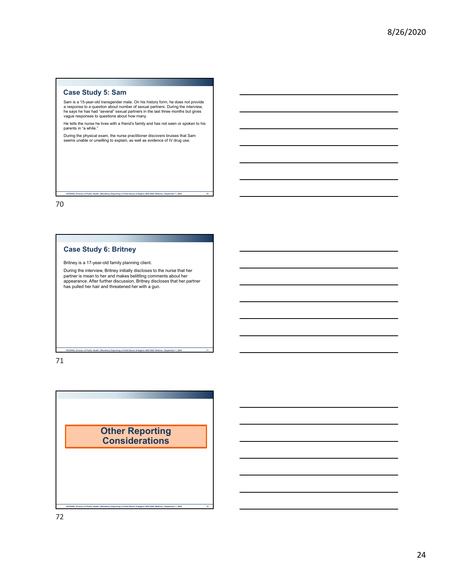#### **Case Study 5: Sam**

Sam is a 15-year-old transgender male. On his history form, he does not provide<br>a response to a question about number of sexual partners. During the interview,<br>he says he has had "several" sexual partners in the last three vague responses to questions about how many.

He tells the nurse he lives with a friend's family and has not seen or spoken to his parents in "a while."

During the physical exam, the nurse practitioner discovers bruises that Sam seems unable or unwilling to explain, as well as evidence of IV drug use.

**NCDHHS, Division of Public Health | Mandatory Reporting of Child Abuse & Neglect 2020-2022 Webinar | September 1, 2020 70**

70

#### **Case Study 6: Britney**

Britney is a 17-year-old family planning client.

During the interview, Britney initially discloses to the nurse that her partner is mean to her and makes belittling comments about her appearance. After further discussion, Britney discloses that her partner has pulled her hair and threatened her with a gun.

#### 71

**Other Reporting Considerations**

**NCDHHS, Division of Public Health | Mandatory Reporting of Child Abuse & Neglect 2020-2022 Webinar | September 1, 2020 72**